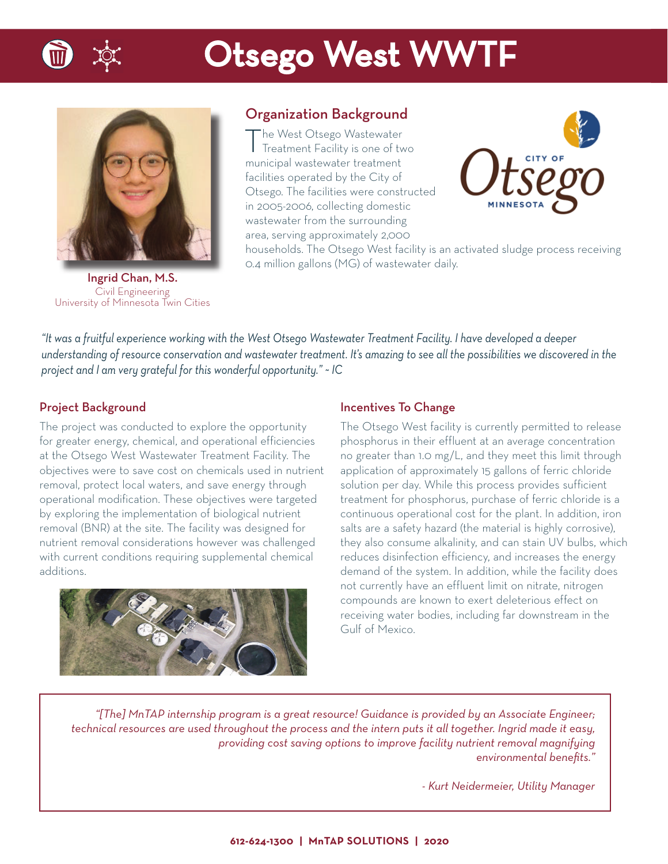

## Otsego West WWTF



Ingrid Chan, M.S. Civil Engineering University of Minnesota Twin Cities

## Organization Background

The West Otsego Wastewater Treatment Facility is one of two municipal wastewater treatment facilities operated by the City of Otsego. The facilities were constructed in 2005-2006, collecting domestic wastewater from the surrounding area, serving approximately 2,000



households. The Otsego West facility is an activated sludge process receiving 0.4 million gallons (MG) of wastewater daily.

*"It was a fruitful experience working with the West Otsego Wastewater Treatment Facility. I have developed a deeper understanding of resource conservation and wastewater treatment. It's amazing to see all the possibilities we discovered in the project and I am very grateful for this wonderful opportunity." ~ IC*

### Project Background

The project was conducted to explore the opportunity for greater energy, chemical, and operational efficiencies at the Otsego West Wastewater Treatment Facility. The objectives were to save cost on chemicals used in nutrient removal, protect local waters, and save energy through operational modification. These objectives were targeted by exploring the implementation of biological nutrient removal (BNR) at the site. The facility was designed for nutrient removal considerations however was challenged with current conditions requiring supplemental chemical additions.



#### Incentives To Change

The Otsego West facility is currently permitted to release phosphorus in their effluent at an average concentration no greater than 1.0 mg/L, and they meet this limit through application of approximately 15 gallons of ferric chloride solution per day. While this process provides sufficient treatment for phosphorus, purchase of ferric chloride is a continuous operational cost for the plant. In addition, iron salts are a safety hazard (the material is highly corrosive), they also consume alkalinity, and can stain UV bulbs, which reduces disinfection efficiency, and increases the energy demand of the system. In addition, while the facility does not currently have an effluent limit on nitrate, nitrogen compounds are known to exert deleterious effect on receiving water bodies, including far downstream in the Gulf of Mexico.

*"[The] MnTAP internship program is a great resource! Guidance is provided by an Associate Engineer; technical resources are used throughout the process and the intern puts it all together. Ingrid made it easy, providing cost saving options to improve facility nutrient removal magnifying*   $environmental benefits."$ 

*- Kurt Neidermeier, Utility Manager*